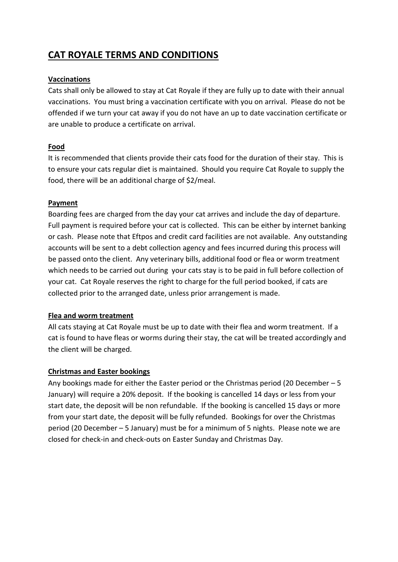# **CAT ROYALE TERMS AND CONDITIONS**

### **Vaccinations**

Cats shall only be allowed to stay at Cat Royale if they are fully up to date with their annual vaccinations. You must bring a vaccination certificate with you on arrival. Please do not be offended if we turn your cat away if you do not have an up to date vaccination certificate or are unable to produce a certificate on arrival.

#### **Food**

It is recommended that clients provide their cats food for the duration of their stay. This is to ensure your cats regular diet is maintained. Should you require Cat Royale to supply the food, there will be an additional charge of \$2/meal.

#### **Payment**

Boarding fees are charged from the day your cat arrives and include the day of departure. Full payment is required before your cat is collected. This can be either by internet banking or cash. Please note that Eftpos and credit card facilities are not available. Any outstanding accounts will be sent to a debt collection agency and fees incurred during this process will be passed onto the client. Any veterinary bills, additional food or flea or worm treatment which needs to be carried out during your cats stay is to be paid in full before collection of your cat. Cat Royale reserves the right to charge for the full period booked, if cats are collected prior to the arranged date, unless prior arrangement is made.

#### **Flea and worm treatment**

All cats staying at Cat Royale must be up to date with their flea and worm treatment. If a cat is found to have fleas or worms during their stay, the cat will be treated accordingly and the client will be charged.

# **Christmas and Easter bookings**

Any bookings made for either the Easter period or the Christmas period (20 December – 5 January) will require a 20% deposit. If the booking is cancelled 14 days or less from your start date, the deposit will be non refundable. If the booking is cancelled 15 days or more from your start date, the deposit will be fully refunded. Bookings for over the Christmas period (20 December – 5 January) must be for a minimum of 5 nights. Please note we are closed for check-in and check-outs on Easter Sunday and Christmas Day.